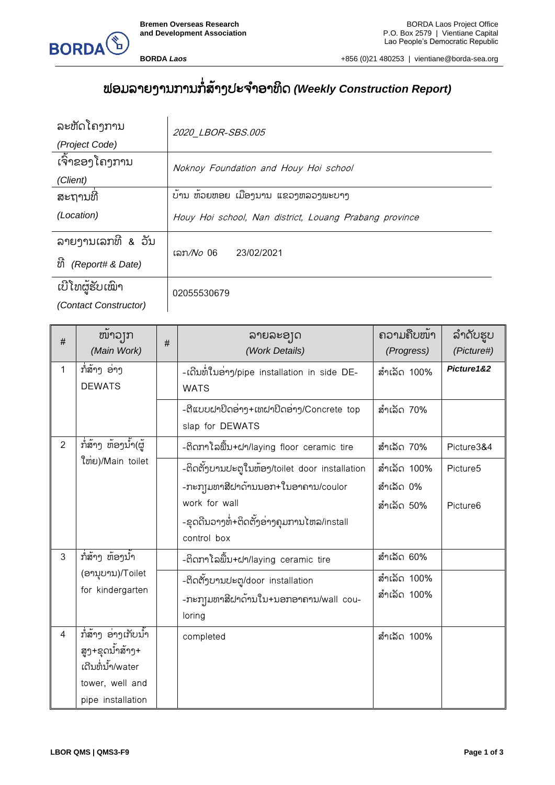



**BORDA** *Laos* +856 (0)21 480253 | vientiane@borda-sea.org

## ຟອມລາຍງານການກໍ່ສ າ້ງປະຈາ ອາທິດ *(Weekly Construction Report)*

| ລະຫັດໂຄງການ            | 2020 LBOR-SBS.005                                      |
|------------------------|--------------------------------------------------------|
| (Project Code)         |                                                        |
| ເຈົ້າຂອງໂຄງການ         | Noknoy Foundation and Houy Hoi school                  |
| (Client)               |                                                        |
| ສະຖານທີ                | ບ້ານ ຫ້ວຍຫອຍ ເມືອງນານ ແຂວງຫລວງພະບາງ                    |
| (Location)             | Houy Hoi school, Nan district, Louang Prabang province |
| ລາຍງານເລກທີ & ວັນ      |                                                        |
| ທີ<br>(Report# & Date) | ເລກ <i>/No</i> 06 23/02/2021                           |
| ເບີໂທຜູ້ຮັບເໝົາ        | 02055530679                                            |
| (Contact Constructor)  |                                                        |

| $\#$           | ໜ້າວງກ<br>(Main Work)                                                                               | # | ລາຍລະອຸງດ<br>(Work Details)                                                                                                                                         | ຄວາມຄືບໜ້າ<br>(Progress)               | ລຳດັບຮູບ<br>(Picture#)           |
|----------------|-----------------------------------------------------------------------------------------------------|---|---------------------------------------------------------------------------------------------------------------------------------------------------------------------|----------------------------------------|----------------------------------|
| $\mathbf{1}$   | ກໍ່ສ້າງ ອ່າງ<br><b>DEWATS</b>                                                                       |   | -ເດີນທໍ່ໃນອ່າງ/pipe installation in side DE-<br><b>WATS</b>                                                                                                         | ສຳເລັດ 100%                            | Picture1&2                       |
|                |                                                                                                     |   | -ຕີແບບຝາປິດອ່າງ+ເທຝາປິດອ່າງ/Concrete top<br>slap for DEWATS                                                                                                         | ສຳເລັດ 70%                             |                                  |
| $\overline{2}$ | ກໍ່ສ້າງ ຫ້ອງນ້ຳ(ຜູ້                                                                                 |   | -ຕິດກາໂລພື້ນ+ຝາ/laying floor ceramic tire                                                                                                                           | ສຳເລັດ 70%                             | Picture3&4                       |
|                | ໃຫ່ຍ)/Main toilet                                                                                   |   | -ຕິດຕັ້ງບານປະຕູໃນຫ້ອງ/toilet door installation<br>-ກະກຸ]ມທາສີຝາດ້ານນອກ+ໃນອາຄານ/coulor<br>work for wall<br>-ຂຸດດີນວາງທໍ່+ຕິດຕັ້ງອ່າງຄຸມການໄຫລ/install<br>control box | ສຳເລັດ 100%<br>ສຳເລັດ 0%<br>ສຳເລັດ 50% | Picture5<br>Picture <sub>6</sub> |
| 3              | ກໍ່ສ້າງ ຫ້ອງນ້ຳ                                                                                     |   | -ຕິດກາໂລພື້ນ+ຝາ/laying ceramic tire                                                                                                                                 | ສຳເລັດ 60%                             |                                  |
|                | (ອານຸບານ)/Toilet<br>for kindergarten                                                                |   | -ຕິດຕັ້ງບານປະຕູ/door installation<br>-ກະກຸ]ມທາສີຝາດ້ານໃນ+ນອກອາຄານ/wall cou-<br>loring                                                                               | ສຳເລັດ 100%<br>ສຳເລັດ 100%             |                                  |
| $\overline{4}$ | ກ່ີ່ສ້າງ ອ່າງເກັບນ້ຳ<br>ສູງ+ຂຸດນ້ຳສ້າງ+<br>ເດີນທໍ່ນ້ຳ/water<br>tower, well and<br>pipe installation |   | completed                                                                                                                                                           | ສຳເລັດ 100%                            |                                  |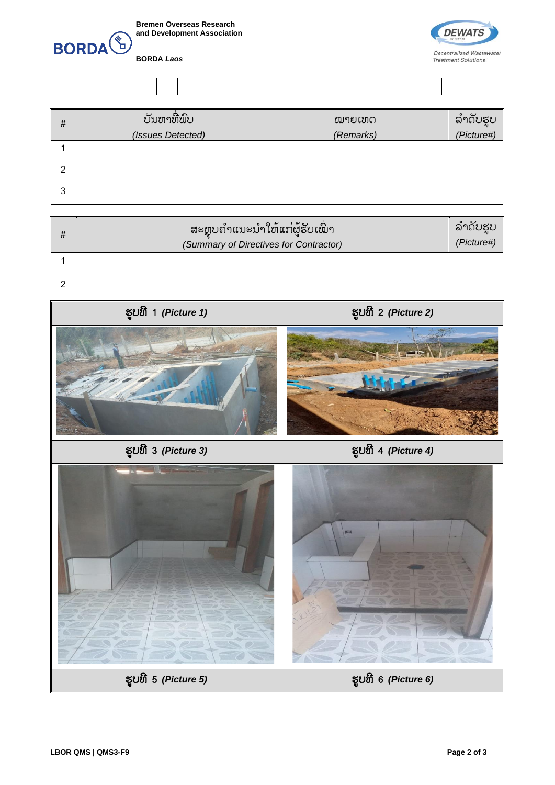

**BORDA** *Laos*



| # | ບັນຫາທີ່ພົບ<br>(Issues Detected) | ໝາຍເຫດ<br>(Remarks) | ລຳດັບຮູບ<br><i>(Picture#)</i> |
|---|----------------------------------|---------------------|-------------------------------|
|   |                                  |                     |                               |
| ◠ |                                  |                     |                               |
| 3 |                                  |                     |                               |

| # | ຸ ສະຫຼຸບຄຳແນະນຳໃຫ້ແກ່ຜູ້ຮັບເ <i>ີ່</i> ພາ<br>(Summary of Directives for Contractor) | ລຳດັບຮບ<br>(Picture#) |
|---|-------------------------------------------------------------------------------------|-----------------------|
|   |                                                                                     |                       |
|   |                                                                                     |                       |